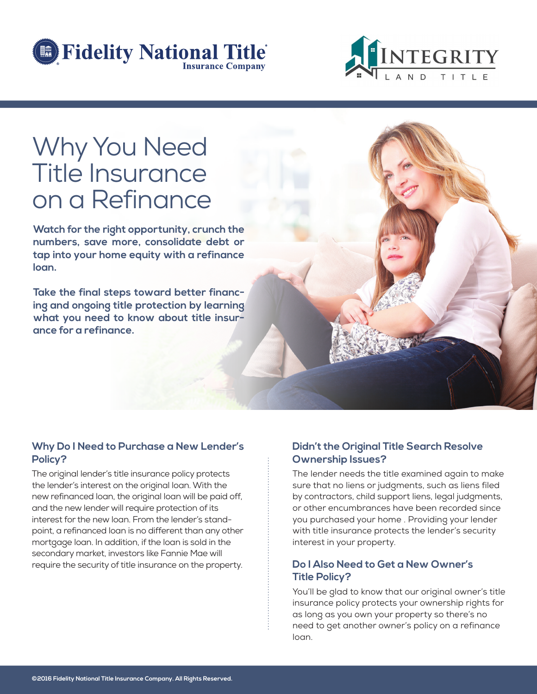



# Why You Need Title Insurance on a Refinance

**Watch for the right opportunity, crunch the numbers, save more, consolidate debt or tap into your home equity with a refinance loan.**

**Take the final steps toward better financing and ongoing title protection by learning what you need to know about title insurance for a refinance.**

## **Why Do I Need to Purchase a New Lender's Policy?**

The original lender's title insurance policy protects the lender's interest on the original loan. With the new refinanced loan, the original loan will be paid off, and the new lender will require protection of its interest for the new loan. From the lender's standpoint, a refinanced loan is no different than any other mortgage loan. In addition, if the loan is sold in the secondary market, investors like Fannie Mae will require the security of title insurance on the property.

## **Didn't the Original Title Search Resolve Ownership Issues?**

The lender needs the title examined again to make sure that no liens or judgments, such as liens filed by contractors, child support liens, legal judgments, or other encumbrances have been recorded since you purchased your home . Providing your lender with title insurance protects the lender's security interest in your property.

#### **Do I Also Need to Get a New Owner's Title Policy?**

You'll be glad to know that our original owner's title insurance policy protects your ownership rights for as long as you own your property so there's no need to get another owner's policy on a refinance loan.